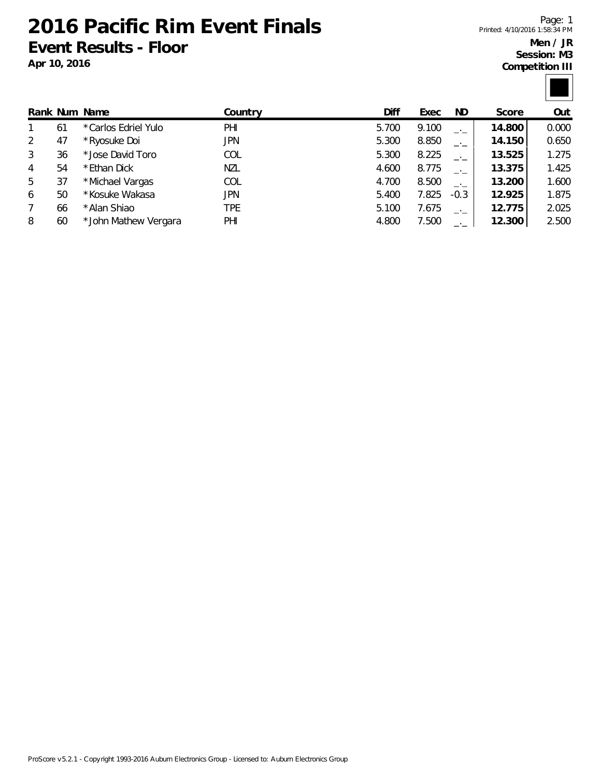**2016 Pacific Rim Event Finals Event Results - Floor**

**Apr 10, 2016**

Page: 1 Printed: 4/10/2016 1:58:34 PM

## **Men / JR Session: M3 Competition III**

|   |    | Rank Num Name         | Country | Diff  | Exec  | ND.    | Score  | Out   |
|---|----|-----------------------|---------|-------|-------|--------|--------|-------|
| 1 | 61 | *Carlos Edriel Yulo   | PHI     | 5.700 | 9.100 |        | 14.800 | 0.000 |
| 2 | 47 | * Ryosuke Doi         | JPN     | 5.300 | 8.850 |        | 14.150 | 0.650 |
| 3 | 36 | * Jose David Toro     | COL     | 5.300 | 8.225 |        | 13.525 | 1.275 |
| 4 | 54 | *Ethan Dick           | NZL     | 4.600 | 8.775 |        | 13.375 | 1.425 |
| 5 | 37 | *Michael Vargas       | COL     | 4.700 | 8.500 |        | 13.200 | 1.600 |
| 6 | 50 | *Kosuke Wakasa        | JPN     | 5.400 | 7.825 | $-0.3$ | 12.925 | 1.875 |
| 7 | 66 | *Alan Shiao           | TPE     | 5.100 | 7.675 | $-1$   | 12.775 | 2.025 |
| 8 | 60 | * John Mathew Vergara | PHI     | 4.800 | 7.500 |        | 12.300 | 2.500 |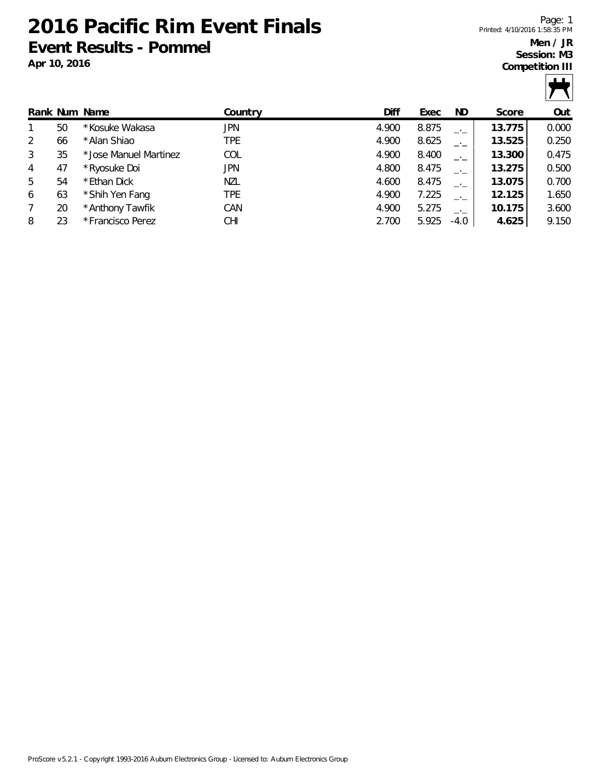**2016 Pacific Rim Event Finals Event Results - Pommel**

**Apr 10, 2016**

Page: 1 Printed: 4/10/2016 1:58:35 PM

# **Men / JR Session: M3**

**Competition III**



|   |    | Rank Num Name          | Country | Diff  | Exec  | ND.    | Score  | Out   |
|---|----|------------------------|---------|-------|-------|--------|--------|-------|
|   | 50 | *Kosuke Wakasa         | JPN     | 4.900 | 8.875 | $-1$   | 13.775 | 0.000 |
| 2 | 66 | *Alan Shiao            | TPE     | 4.900 | 8.625 | $-1$   | 13.525 | 0.250 |
| 3 | 35 | * Jose Manuel Martinez | COL     | 4.900 | 8.400 |        | 13.300 | 0.475 |
| 4 | 47 | *Ryosuke Doi           | JPN     | 4.800 | 8.475 | $-1$   | 13.275 | 0.500 |
| 5 | 54 | *Ethan Dick            | NZL     | 4.600 | 8.475 | $-1$   | 13.075 | 0.700 |
| 6 | 63 | *Shih Yen Fang         | TPE     | 4.900 | 7.225 | $-1$   | 12.125 | 1.650 |
| 7 | 20 | *Anthony Tawfik        | CAN     | 4.900 | 5.275 | $-1$   | 10.175 | 3.600 |
| 8 | 23 | *Francisco Perez       | CHI     | 2.700 | 5.925 | $-4.0$ | 4.625  | 9.150 |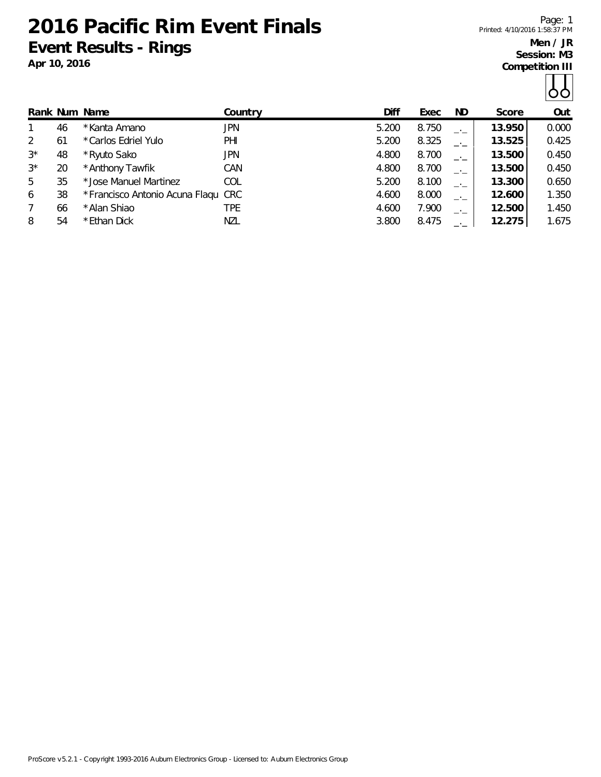**2016 Pacific Rim Event Finals Event Results - Rings**

**Apr 10, 2016**

Page: 1 Printed: 4/10/2016 1:58:37 PM

## **Men / JR Session: M3**

**Competition III**

|--|

|                |    | Rank Num Name                      | Country    | Diff  | Exec  | ND.  | Score  | Out   |
|----------------|----|------------------------------------|------------|-------|-------|------|--------|-------|
| $\mathbf{1}$   | 46 | *Kanta Amano                       | JPN        | 5.200 | 8.750 |      | 13.950 | 0.000 |
| 2              | 61 | *Carlos Edriel Yulo                | PHI        | 5.200 | 8.325 |      | 13.525 | 0.425 |
| $3^*$          | 48 | *Ryuto Sako                        | JPN        | 4.800 | 8.700 |      | 13.500 | 0.450 |
| $3^*$          | 20 | *Anthony Tawfik                    | CAN        | 4.800 | 8.700 | $-1$ | 13.500 | 0.450 |
| 5              | 35 | * Jose Manuel Martinez             | <b>COL</b> | 5.200 | 8.100 | $-1$ | 13.300 | 0.650 |
| 6              | 38 | *Francisco Antonio Acuna Flagu CRC |            | 4.600 | 8.000 | $-1$ | 12.600 | 1.350 |
| $\overline{7}$ | 66 | * Alan Shiao                       | TPE        | 4.600 | 7.900 | $-1$ | 12.500 | 1.450 |
| 8              | 54 | *Ethan Dick                        | NZL        | 3.800 | 8.475 |      | 12.275 | 1.675 |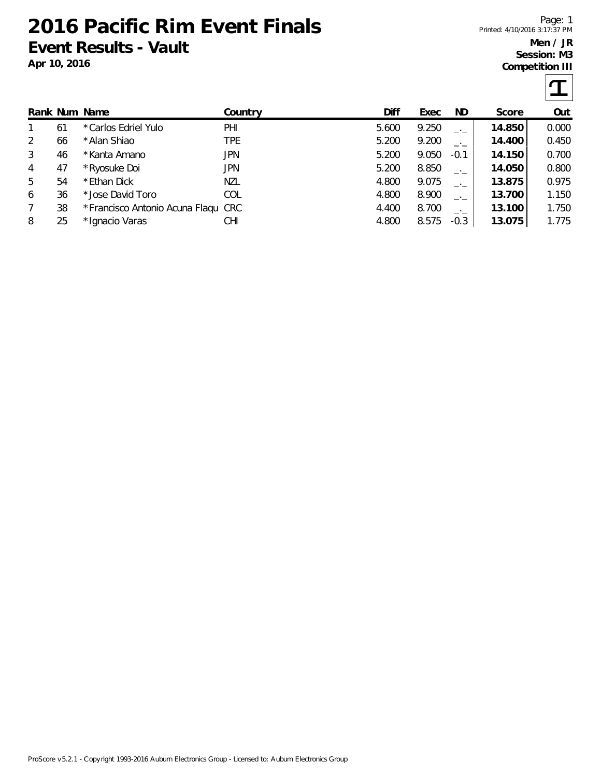**2016 Pacific Rim Event Finals Event Results - Vault**

**Apr 10, 2016**

Page: 1 Printed: 4/10/2016 3:17:37 PM

#### **Men / JR Session: M3 Competition III**

|                |    |                     |         |       |       |        |        | 00110001101111 |
|----------------|----|---------------------|---------|-------|-------|--------|--------|----------------|
|                |    |                     |         |       |       |        |        |                |
|                |    | Rank Num Name       | Country | Diff  | Exec  | ND.    | Score  | Out            |
|                | 61 | *Carlos Edriel Yulo | PHI     | 5.600 | 9.250 | $-1$   | 14.850 | 0.000          |
| 2              | 66 | * Alan Shiao        | TPE     | 5.200 | 9.200 | $-1$   | 14.400 | 0.450          |
| 3              | 46 | *Kanta Amano        | JPN     | 5.200 | 9.050 | $-0.1$ | 14.150 | 0.700          |
| $\overline{4}$ | 47 | * Ryosuke Doi       | JPN     | 5.200 | 8.850 | $-1$   | 14.050 | 0.800          |
| 5              | 54 | *Ethan Dick         | NZL     | 4.800 | 9.075 | $-1$   | 13.875 | 0.975          |
| 6              | 36 | *Jose David Toro    | COL     | 4.800 | 8.900 |        | 13.700 | 1.150          |

7 38 \*Francisco Antonio Acuna Flaqu CRC 4.400 8.700 \_.\_ **13.100** 1.750 8 25 \*Ignacio Varas CHI 4.800 8.575 -0.3 **13.075** 1.775

ProScore v5.2.1 - Copyright 1993-2016 Auburn Electronics Group - Licensed to: Auburn Electronics Group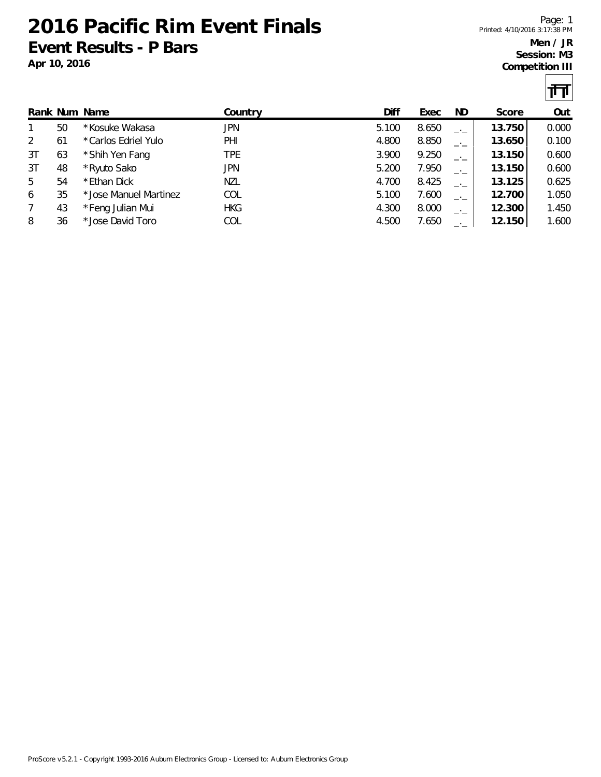**2016 Pacific Rim Event Finals Event Results - P Bars**

**Apr 10, 2016**

Page: 1 Printed: 4/10/2016 3:17:38 PM

### **Men / JR Session: M3 Competition III**

|                |    |                       |            |       |       |      |        | Ш     |
|----------------|----|-----------------------|------------|-------|-------|------|--------|-------|
|                |    | Rank Num Name         | Country    | Diff  | Exec  | ND.  | Score  | Out   |
|                | 50 | *Kosuke Wakasa        | JPN        | 5.100 | 8.650 | $-1$ | 13.750 | 0.000 |
| $\overline{2}$ | 61 | *Carlos Edriel Yulo   | PHI        | 4.800 | 8.850 | $-1$ | 13.650 | 0.100 |
| 3T             | 63 | *Shih Yen Fang        | TPE        | 3.900 | 9.250 | $-1$ | 13.150 | 0.600 |
| 3T             | 48 | *Ryuto Sako           | <b>JPN</b> | 5.200 | 7.950 | $-1$ | 13.150 | 0.600 |
| 5              | 54 | *Ethan Dick           | NZL        | 4.700 | 8.425 | $-1$ | 13.125 | 0.625 |
| 6              | 35 | *Jose Manuel Martinez | COL        | 5.100 | 7.600 | $-1$ | 12.700 | 1.050 |
| $\overline{7}$ | 43 | *Feng Julian Mui      | <b>HKG</b> | 4.300 | 8.000 | $-1$ | 12.300 | 1.450 |
| 8              | 36 | *Jose David Toro      | COL        | 4.500 | 7.650 |      | 12.150 | 1.600 |